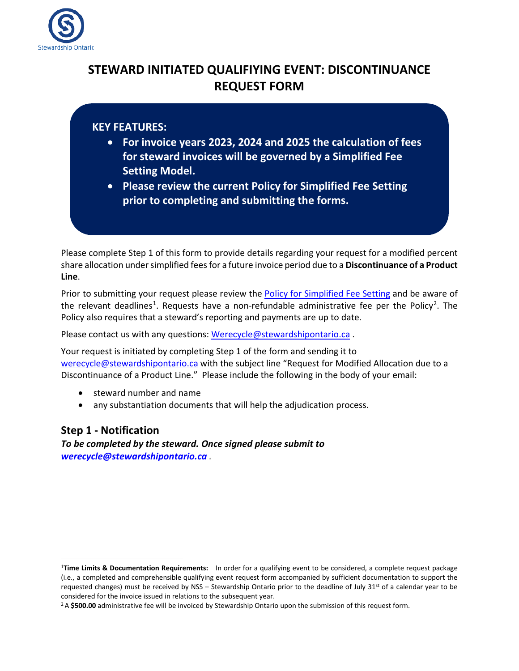

# **STEWARD INITIATED QUALIFIYING EVENT: DISCONTINUANCE REQUEST FORM**

### **KEY FEATURES:**

- **For invoice years 2023, 2024 and 2025 the calculation of fees for steward invoices will be governed by a Simplified Fee Setting Model.**
- **Please review the current Policy for Simplified Fee Setting prior to completing and submitting the forms.**

Please complete Step 1 of this form to provide details regarding your request for a modified percent share allocation under simplified fees for a future invoice period due to a **Discontinuance of a Product Line**.

Prior to submitting your request please review the [Policy for Simplified Fee Setting](https://stewardshipontario.ca/wp-content/uploads/2022/05/Stewardship-Ontario-Policy-for-Simplified-Fee-Setting-May-2022.pdf) and be aware of the relevant deadlines<sup>[1](#page-0-0)</sup>. Requests have a non-refundable administrative fee per the Policy<sup>[2](#page-0-1)</sup>. The Policy also requires that a steward's reporting and payments are up to date.

Please contact us with any questions: [Werecycle@stewardshipontario.ca](mailto:Werecycle@stewardshipontario.ca) .

Your request is initiated by completing Step 1 of the form and sending it to [werecycle@stewardshipontario.ca](mailto:werecycle@stewardshipontario.ca) with the subject line "Request for Modified Allocation due to a Discontinuance of a Product Line." Please include the following in the body of your email:

- steward number and name
- any substantiation documents that will help the adjudication process.

### **Step 1 - Notification**

*To be completed by the steward. Once signed please submit to [werecycle@stewardshipontario.ca .](mailto:werecycle@stewardshipontario.ca)* 

<span id="page-0-0"></span><sup>1</sup>**Time Limits & Documentation Requirements:** In order for a qualifying event to be considered, a complete request package (i.e., a completed and comprehensible qualifying event request form accompanied by sufficient documentation to support the requested changes) must be received by NSS - Stewardship Ontario prior to the deadline of July 31<sup>st</sup> of a calendar year to be considered for the invoice issued in relations to the subsequent year.<br><sup>2</sup> A \$500.00 administrative fee will be invoiced by Stewardship Ontario upon the submission of this request form.

<span id="page-0-1"></span>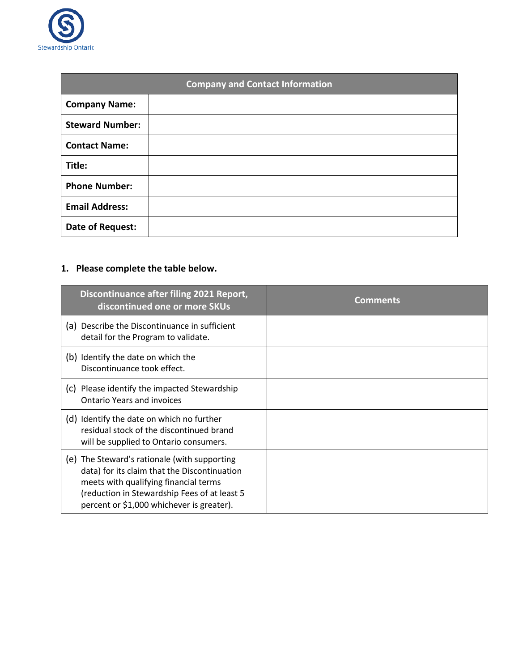

| <b>Company and Contact Information</b> |  |  |
|----------------------------------------|--|--|
| <b>Company Name:</b>                   |  |  |
| <b>Steward Number:</b>                 |  |  |
| <b>Contact Name:</b>                   |  |  |
| Title:                                 |  |  |
| <b>Phone Number:</b>                   |  |  |
| <b>Email Address:</b>                  |  |  |
| Date of Request:                       |  |  |

# **1. Please complete the table below.**

| Discontinuance after filing 2021 Report,<br>discontinued one or more SKUs                                                                                                                                                          | <b>Comments</b> |
|------------------------------------------------------------------------------------------------------------------------------------------------------------------------------------------------------------------------------------|-----------------|
| (a) Describe the Discontinuance in sufficient<br>detail for the Program to validate.                                                                                                                                               |                 |
| (b) Identify the date on which the<br>Discontinuance took effect.                                                                                                                                                                  |                 |
| (c) Please identify the impacted Stewardship<br><b>Ontario Years and invoices</b>                                                                                                                                                  |                 |
| (d) Identify the date on which no further<br>residual stock of the discontinued brand<br>will be supplied to Ontario consumers.                                                                                                    |                 |
| (e) The Steward's rationale (with supporting<br>data) for its claim that the Discontinuation<br>meets with qualifying financial terms<br>(reduction in Stewardship Fees of at least 5<br>percent or \$1,000 whichever is greater). |                 |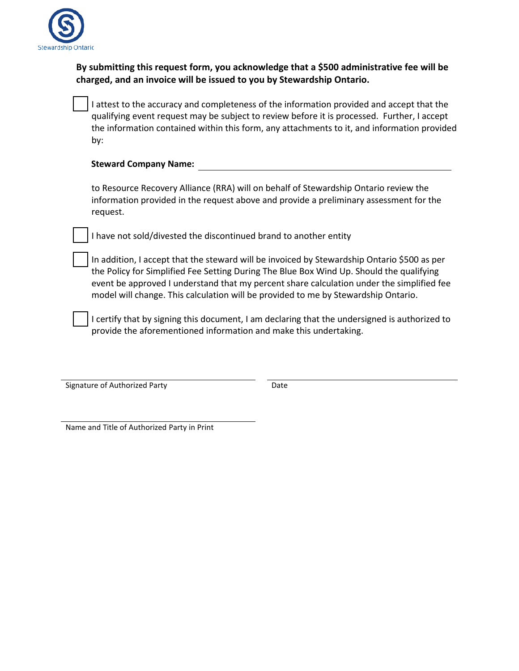

### **By submitting this request form, you acknowledge that a \$500 administrative fee will be charged, and an invoice will be issued to you by Stewardship Ontario.**

I attest to the accuracy and completeness of the information provided and accept that the qualifying event request may be subject to review before it is processed. Further, I accept the information contained within this form, any attachments to it, and information provided by:

#### **Steward Company Name:**

to Resource Recovery Alliance (RRA) will on behalf of Stewardship Ontario review the information provided in the request above and provide a preliminary assessment for the request.

I have not sold/divested the discontinued brand to another entity

In addition, I accept that the steward will be invoiced by Stewardship Ontario \$500 as per the Policy for Simplified Fee Setting During The Blue Box Wind Up. Should the qualifying event be approved I understand that my percent share calculation under the simplified fee model will change. This calculation will be provided to me by Stewardship Ontario.

I certify that by signing this document, I am declaring that the undersigned is authorized to provide the aforementioned information and make this undertaking.

Signature of Authorized Party **Date** Date

Name and Title of Authorized Party in Print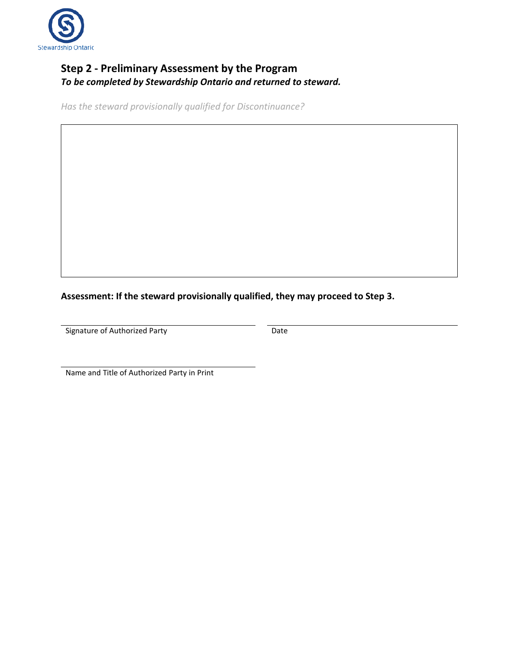

## **Step 2 - Preliminary Assessment by the Program** *To be completed by Stewardship Ontario and returned to steward.*

*Has the steward provisionally qualified for Discontinuance?*

**Assessment: If the steward provisionally qualified, they may proceed to Step 3.**

Signature of Authorized Party Date

Name and Title of Authorized Party in Print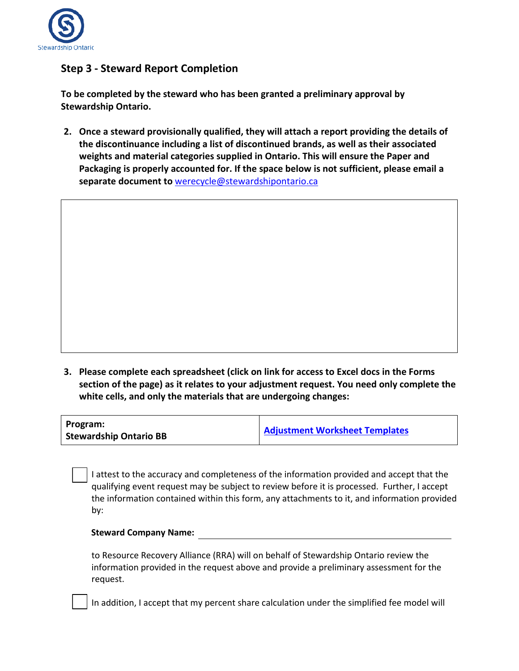

# **Step 3 - Steward Report Completion**

**To be completed by the steward who has been granted a preliminary approval by Stewardship Ontario.** 

**2. Once a steward provisionally qualified, they will attach a report providing the details of the discontinuance including a list of discontinued brands, as well as their associated weights and material categories supplied in Ontario. This will ensure the Paper and Packaging is properly accounted for. If the space below is not sufficient, please email a separate document to** [werecycle@stewardshipontario.ca](mailto:werecycle@stewardshipontario.ca)

**3. Please complete each spreadsheet (click on link for access to Excel docs in the Forms section of the page) as it relates to your adjustment request. You need only complete the white cells, and only the materials that are undergoing changes:**

| Program:                      | <b>Adjustment Worksheet Templates</b> |
|-------------------------------|---------------------------------------|
| <b>Stewardship Ontario BB</b> |                                       |

I attest to the accuracy and completeness of the information provided and accept that the qualifying event request may be subject to review before it is processed. Further, I accept the information contained within this form, any attachments to it, and information provided by:

#### **Steward Company Name:**

to Resource Recovery Alliance (RRA) will on behalf of Stewardship Ontario review the information provided in the request above and provide a preliminary assessment for the request.

In addition, I accept that my percent share calculation under the simplified fee model will